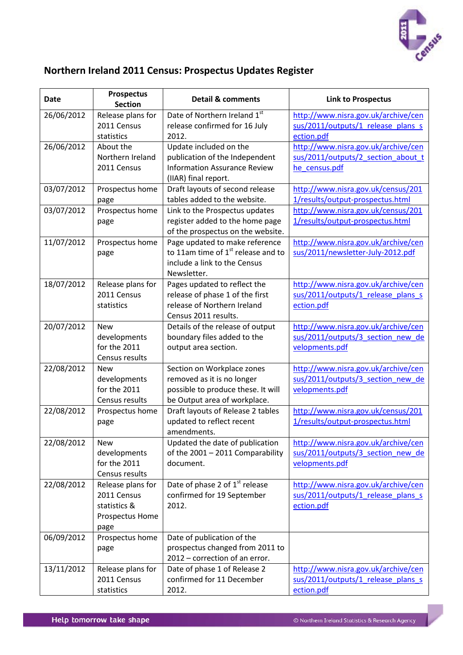

## **Northern Ireland 2011 Census: Prospectus Updates Register**

| <b>Date</b> | <b>Prospectus</b><br><b>Section</b> | <b>Detail &amp; comments</b>                                           | <b>Link to Prospectus</b>                           |
|-------------|-------------------------------------|------------------------------------------------------------------------|-----------------------------------------------------|
| 26/06/2012  | Release plans for                   | Date of Northern Ireland 1st                                           | http://www.nisra.gov.uk/archive/cen                 |
|             | 2011 Census                         | release confirmed for 16 July                                          | sus/2011/outputs/1_release_plans_s                  |
|             | statistics                          | 2012.                                                                  | ection.pdf                                          |
| 26/06/2012  | About the                           | Update included on the                                                 | http://www.nisra.gov.uk/archive/cen                 |
|             | Northern Ireland                    | publication of the Independent                                         | sus/2011/outputs/2 section about t                  |
|             | 2011 Census                         | <b>Information Assurance Review</b>                                    | he census.pdf                                       |
|             |                                     | (IIAR) final report.                                                   |                                                     |
| 03/07/2012  | Prospectus home                     | Draft layouts of second release                                        | http://www.nisra.gov.uk/census/201                  |
|             | page                                | tables added to the website.                                           | 1/results/output-prospectus.html                    |
| 03/07/2012  | Prospectus home                     | Link to the Prospectus updates                                         | http://www.nisra.gov.uk/census/201                  |
|             | page                                | register added to the home page                                        | 1/results/output-prospectus.html                    |
|             |                                     | of the prospectus on the website.                                      |                                                     |
| 11/07/2012  | Prospectus home                     | Page updated to make reference<br>to 11am time of $1st$ release and to | http://www.nisra.gov.uk/archive/cen                 |
|             | page                                | include a link to the Census                                           | sus/2011/newsletter-July-2012.pdf                   |
|             |                                     | Newsletter.                                                            |                                                     |
| 18/07/2012  | Release plans for                   | Pages updated to reflect the                                           | http://www.nisra.gov.uk/archive/cen                 |
|             | 2011 Census                         | release of phase 1 of the first                                        | sus/2011/outputs/1 release plans s                  |
|             | statistics                          | release of Northern Ireland                                            | ection.pdf                                          |
|             |                                     | Census 2011 results.                                                   |                                                     |
| 20/07/2012  | <b>New</b>                          | Details of the release of output                                       | http://www.nisra.gov.uk/archive/cen                 |
|             | developments                        | boundary files added to the                                            | sus/2011/outputs/3 section new de                   |
|             | for the 2011                        | output area section.                                                   | velopments.pdf                                      |
|             | Census results                      |                                                                        |                                                     |
| 22/08/2012  | <b>New</b>                          | Section on Workplace zones                                             | http://www.nisra.gov.uk/archive/cen                 |
|             | developments                        | removed as it is no longer                                             | sus/2011/outputs/3 section new de                   |
|             | for the 2011                        | possible to produce these. It will                                     | velopments.pdf                                      |
|             | Census results                      | be Output area of workplace.                                           |                                                     |
| 22/08/2012  | Prospectus home                     | Draft layouts of Release 2 tables                                      | http://www.nisra.gov.uk/census/201                  |
|             | page                                | updated to reflect recent                                              | 1/results/output-prospectus.html                    |
|             |                                     | amendments.                                                            |                                                     |
| 22/08/2012  | <b>New</b>                          | Updated the date of publication                                        | http://www.nisra.gov.uk/archive/cen                 |
|             | developments<br>for the 2011        | of the 2001 - 2011 Comparability<br>document.                          | sus/2011/outputs/3 section new de<br>velopments.pdf |
|             | Census results                      |                                                                        |                                                     |
| 22/08/2012  | Release plans for                   | Date of phase 2 of 1 <sup>st</sup> release                             | http://www.nisra.gov.uk/archive/cen                 |
|             | 2011 Census                         | confirmed for 19 September                                             | sus/2011/outputs/1_release_plans_s                  |
|             | statistics &                        | 2012.                                                                  | ection.pdf                                          |
|             | Prospectus Home                     |                                                                        |                                                     |
|             | page                                |                                                                        |                                                     |
| 06/09/2012  | Prospectus home                     | Date of publication of the                                             |                                                     |
|             | page                                | prospectus changed from 2011 to                                        |                                                     |
|             |                                     | 2012 - correction of an error.                                         |                                                     |
| 13/11/2012  | Release plans for                   | Date of phase 1 of Release 2                                           | http://www.nisra.gov.uk/archive/cen                 |
|             | 2011 Census                         | confirmed for 11 December                                              | sus/2011/outputs/1 release plans s                  |
|             | statistics                          | 2012.                                                                  | ection.pdf                                          |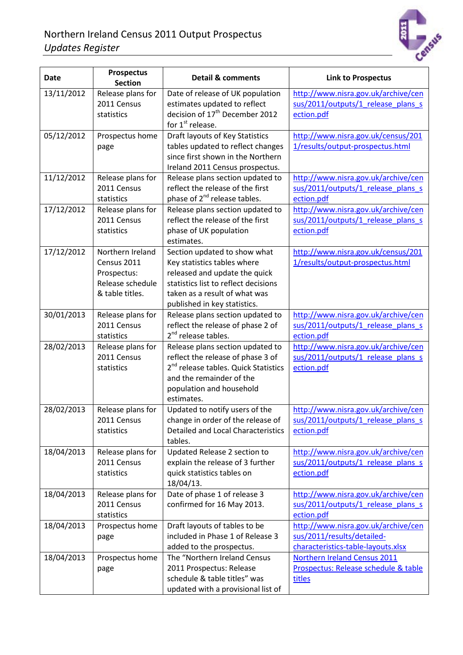

| <b>Date</b> | <b>Prospectus</b><br><b>Section</b>                                                   | <b>Detail &amp; comments</b>                                                                                                                                                                          | <b>Link to Prospectus</b>                                                                               |
|-------------|---------------------------------------------------------------------------------------|-------------------------------------------------------------------------------------------------------------------------------------------------------------------------------------------------------|---------------------------------------------------------------------------------------------------------|
| 13/11/2012  | Release plans for<br>2011 Census<br>statistics                                        | Date of release of UK population<br>estimates updated to reflect<br>decision of 17 <sup>th</sup> December 2012<br>for 1 <sup>st</sup> release.                                                        | http://www.nisra.gov.uk/archive/cen<br>sus/2011/outputs/1 release plans s<br>ection.pdf                 |
| 05/12/2012  | Prospectus home<br>page                                                               | Draft layouts of Key Statistics<br>tables updated to reflect changes<br>since first shown in the Northern<br>Ireland 2011 Census prospectus.                                                          | http://www.nisra.gov.uk/census/201<br>1/results/output-prospectus.html                                  |
| 11/12/2012  | Release plans for<br>2011 Census<br>statistics                                        | Release plans section updated to<br>reflect the release of the first<br>phase of 2 <sup>nd</sup> release tables.                                                                                      | http://www.nisra.gov.uk/archive/cen<br>sus/2011/outputs/1 release plans s<br>ection.pdf                 |
| 17/12/2012  | Release plans for<br>2011 Census<br>statistics                                        | Release plans section updated to<br>reflect the release of the first<br>phase of UK population<br>estimates.                                                                                          | http://www.nisra.gov.uk/archive/cen<br>sus/2011/outputs/1_release_plans_s<br>ection.pdf                 |
| 17/12/2012  | Northern Ireland<br>Census 2011<br>Prospectus:<br>Release schedule<br>& table titles. | Section updated to show what<br>Key statistics tables where<br>released and update the quick<br>statistics list to reflect decisions<br>taken as a result of what was<br>published in key statistics. | http://www.nisra.gov.uk/census/201<br>1/results/output-prospectus.html                                  |
| 30/01/2013  | Release plans for<br>2011 Census<br>statistics                                        | Release plans section updated to<br>reflect the release of phase 2 of<br>2 <sup>nd</sup> release tables.                                                                                              | http://www.nisra.gov.uk/archive/cen<br>sus/2011/outputs/1 release plans s<br>ection.pdf                 |
| 28/02/2013  | Release plans for<br>2011 Census<br>statistics                                        | Release plans section updated to<br>reflect the release of phase 3 of<br>2 <sup>nd</sup> release tables. Quick Statistics<br>and the remainder of the<br>population and household<br>estimates.       | http://www.nisra.gov.uk/archive/cen<br>sus/2011/outputs/1 release plans s<br>ection.pdf                 |
| 28/02/2013  | Release plans for<br>2011 Census<br>statistics                                        | Updated to notify users of the<br>change in order of the release of<br>Detailed and Local Characteristics<br>tables.                                                                                  | http://www.nisra.gov.uk/archive/cen<br>sus/2011/outputs/1_release_plans_s<br>ection.pdf                 |
| 18/04/2013  | Release plans for<br>2011 Census<br>statistics                                        | Updated Release 2 section to<br>explain the release of 3 further<br>quick statistics tables on<br>18/04/13.                                                                                           | http://www.nisra.gov.uk/archive/cen<br>sus/2011/outputs/1 release plans s<br>ection.pdf                 |
| 18/04/2013  | Release plans for<br>2011 Census<br>statistics                                        | Date of phase 1 of release 3<br>confirmed for 16 May 2013.                                                                                                                                            | http://www.nisra.gov.uk/archive/cen<br>sus/2011/outputs/1 release plans s<br>ection.pdf                 |
| 18/04/2013  | Prospectus home<br>page                                                               | Draft layouts of tables to be<br>included in Phase 1 of Release 3<br>added to the prospectus.                                                                                                         | http://www.nisra.gov.uk/archive/cen<br>sus/2011/results/detailed-<br>characteristics-table-layouts.xlsx |
| 18/04/2013  | Prospectus home<br>page                                                               | The "Northern Ireland Census<br>2011 Prospectus: Release<br>schedule & table titles" was<br>updated with a provisional list of                                                                        | Northern Ireland Census 2011<br>Prospectus: Release schedule & table<br>titles                          |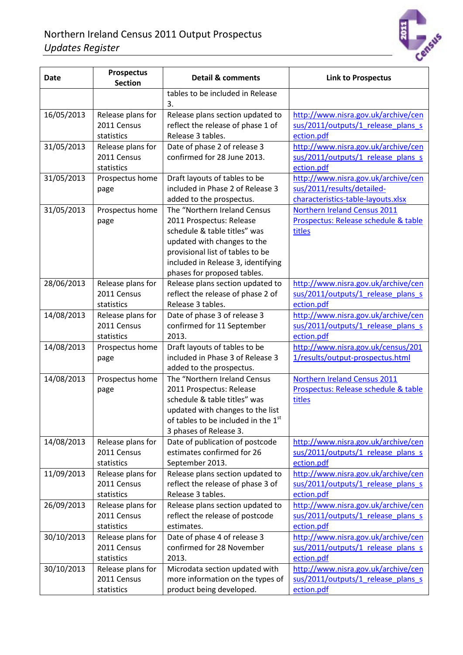

| <b>Date</b> | <b>Prospectus</b><br><b>Section</b>            | <b>Detail &amp; comments</b>                                                                                                                                                                                                     | <b>Link to Prospectus</b>                                                                               |
|-------------|------------------------------------------------|----------------------------------------------------------------------------------------------------------------------------------------------------------------------------------------------------------------------------------|---------------------------------------------------------------------------------------------------------|
|             |                                                | tables to be included in Release<br>3.                                                                                                                                                                                           |                                                                                                         |
| 16/05/2013  | Release plans for                              | Release plans section updated to                                                                                                                                                                                                 | http://www.nisra.gov.uk/archive/cen                                                                     |
|             | 2011 Census                                    | reflect the release of phase 1 of                                                                                                                                                                                                | sus/2011/outputs/1 release plans s                                                                      |
|             | statistics                                     | Release 3 tables.                                                                                                                                                                                                                | ection.pdf                                                                                              |
| 31/05/2013  | Release plans for<br>2011 Census<br>statistics | Date of phase 2 of release 3<br>confirmed for 28 June 2013.                                                                                                                                                                      | http://www.nisra.gov.uk/archive/cen<br>sus/2011/outputs/1_release_plans_s<br>ection.pdf                 |
| 31/05/2013  | Prospectus home<br>page                        | Draft layouts of tables to be<br>included in Phase 2 of Release 3<br>added to the prospectus.                                                                                                                                    | http://www.nisra.gov.uk/archive/cen<br>sus/2011/results/detailed-<br>characteristics-table-layouts.xlsx |
| 31/05/2013  | Prospectus home<br>page                        | The "Northern Ireland Census<br>2011 Prospectus: Release<br>schedule & table titles" was<br>updated with changes to the<br>provisional list of tables to be<br>included in Release 3, identifying<br>phases for proposed tables. | Northern Ireland Census 2011<br>Prospectus: Release schedule & table<br>titles                          |
| 28/06/2013  | Release plans for                              | Release plans section updated to                                                                                                                                                                                                 | http://www.nisra.gov.uk/archive/cen                                                                     |
|             | 2011 Census                                    | reflect the release of phase 2 of                                                                                                                                                                                                | sus/2011/outputs/1 release plans s                                                                      |
|             | statistics                                     | Release 3 tables.                                                                                                                                                                                                                | ection.pdf                                                                                              |
| 14/08/2013  | Release plans for                              | Date of phase 3 of release 3                                                                                                                                                                                                     | http://www.nisra.gov.uk/archive/cen                                                                     |
|             | 2011 Census                                    | confirmed for 11 September                                                                                                                                                                                                       | sus/2011/outputs/1 release plans s                                                                      |
|             | statistics                                     | 2013.                                                                                                                                                                                                                            | ection.pdf                                                                                              |
| 14/08/2013  | Prospectus home<br>page                        | Draft layouts of tables to be<br>included in Phase 3 of Release 3<br>added to the prospectus.                                                                                                                                    | http://www.nisra.gov.uk/census/201<br>1/results/output-prospectus.html                                  |
| 14/08/2013  | Prospectus home<br>page                        | The "Northern Ireland Census<br>2011 Prospectus: Release<br>schedule & table titles" was<br>updated with changes to the list<br>of tables to be included in the 1st<br>3 phases of Release 3.                                    | Northern Ireland Census 2011<br>Prospectus: Release schedule & table<br>titles                          |
| 14/08/2013  | Release plans for                              | Date of publication of postcode                                                                                                                                                                                                  | http://www.nisra.gov.uk/archive/cen                                                                     |
|             | 2011 Census                                    | estimates confirmed for 26                                                                                                                                                                                                       | sus/2011/outputs/1 release plans s                                                                      |
|             | statistics                                     | September 2013.                                                                                                                                                                                                                  | ection.pdf                                                                                              |
| 11/09/2013  | Release plans for                              | Release plans section updated to                                                                                                                                                                                                 | http://www.nisra.gov.uk/archive/cen                                                                     |
|             | 2011 Census                                    | reflect the release of phase 3 of                                                                                                                                                                                                | sus/2011/outputs/1_release_plans_s                                                                      |
|             | statistics                                     | Release 3 tables.                                                                                                                                                                                                                | ection.pdf                                                                                              |
| 26/09/2013  | Release plans for                              | Release plans section updated to                                                                                                                                                                                                 | http://www.nisra.gov.uk/archive/cen                                                                     |
|             | 2011 Census                                    | reflect the release of postcode                                                                                                                                                                                                  | sus/2011/outputs/1 release plans s                                                                      |
|             | statistics                                     | estimates.                                                                                                                                                                                                                       | ection.pdf                                                                                              |
| 30/10/2013  | Release plans for                              | Date of phase 4 of release 3                                                                                                                                                                                                     | http://www.nisra.gov.uk/archive/cen                                                                     |
|             | 2011 Census                                    | confirmed for 28 November                                                                                                                                                                                                        | sus/2011/outputs/1 release plans s                                                                      |
|             | statistics                                     | 2013.                                                                                                                                                                                                                            | ection.pdf                                                                                              |
| 30/10/2013  | Release plans for                              | Microdata section updated with                                                                                                                                                                                                   | http://www.nisra.gov.uk/archive/cen                                                                     |
|             | 2011 Census                                    | more information on the types of                                                                                                                                                                                                 | sus/2011/outputs/1 release plans s                                                                      |
|             | statistics                                     | product being developed.                                                                                                                                                                                                         | ection.pdf                                                                                              |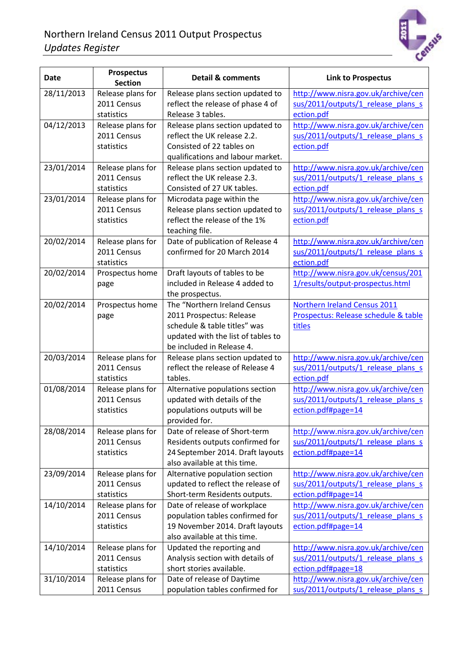

| Date       | <b>Prospectus</b><br><b>Section</b> | <b>Detail &amp; comments</b>                               | <b>Link to Prospectus</b>            |
|------------|-------------------------------------|------------------------------------------------------------|--------------------------------------|
| 28/11/2013 | Release plans for                   | Release plans section updated to                           | http://www.nisra.gov.uk/archive/cen  |
|            | 2011 Census                         | reflect the release of phase 4 of                          | sus/2011/outputs/1 release plans s   |
|            | statistics                          | Release 3 tables.                                          | ection.pdf                           |
| 04/12/2013 | Release plans for                   | Release plans section updated to                           | http://www.nisra.gov.uk/archive/cen  |
|            | 2011 Census                         | reflect the UK release 2.2.                                | sus/2011/outputs/1_release_plans_s   |
|            | statistics                          | Consisted of 22 tables on                                  | ection.pdf                           |
|            |                                     | qualifications and labour market.                          |                                      |
| 23/01/2014 | Release plans for                   | Release plans section updated to                           | http://www.nisra.gov.uk/archive/cen  |
|            | 2011 Census                         | reflect the UK release 2.3.                                | sus/2011/outputs/1 release plans s   |
|            | statistics                          | Consisted of 27 UK tables.                                 | ection.pdf                           |
| 23/01/2014 | Release plans for                   | Microdata page within the                                  | http://www.nisra.gov.uk/archive/cen  |
|            | 2011 Census                         | Release plans section updated to                           | sus/2011/outputs/1 release plans s   |
|            | statistics                          | reflect the release of the 1%                              | ection.pdf                           |
|            |                                     | teaching file.                                             |                                      |
| 20/02/2014 | Release plans for                   | Date of publication of Release 4                           | http://www.nisra.gov.uk/archive/cen  |
|            | 2011 Census                         | confirmed for 20 March 2014                                | sus/2011/outputs/1 release plans s   |
|            | statistics                          |                                                            | ection.pdf                           |
| 20/02/2014 | Prospectus home                     | Draft layouts of tables to be                              | http://www.nisra.gov.uk/census/201   |
|            | page                                | included in Release 4 added to                             | 1/results/output-prospectus.html     |
|            |                                     | the prospectus.                                            |                                      |
| 20/02/2014 | Prospectus home                     | The "Northern Ireland Census                               | Northern Ireland Census 2011         |
|            | page                                | 2011 Prospectus: Release                                   | Prospectus: Release schedule & table |
|            |                                     | schedule & table titles" was                               | titles                               |
|            |                                     | updated with the list of tables to                         |                                      |
|            |                                     | be included in Release 4.                                  |                                      |
| 20/03/2014 | Release plans for                   | Release plans section updated to                           | http://www.nisra.gov.uk/archive/cen  |
|            | 2011 Census                         | reflect the release of Release 4                           | sus/2011/outputs/1 release plans s   |
|            | statistics                          | tables.                                                    | ection.pdf                           |
| 01/08/2014 | Release plans for<br>2011 Census    | Alternative populations section                            | http://www.nisra.gov.uk/archive/cen  |
|            |                                     | updated with details of the<br>populations outputs will be | sus/2011/outputs/1 release plans s   |
|            | statistics                          | provided for.                                              | ection.pdf#page=14                   |
| 28/08/2014 | Release plans for                   | Date of release of Short-term                              | http://www.nisra.gov.uk/archive/cen  |
|            | 2011 Census                         | Residents outputs confirmed for                            | sus/2011/outputs/1 release plans s   |
|            | statistics                          | 24 September 2014. Draft layouts                           | ection.pdf#page=14                   |
|            |                                     | also available at this time.                               |                                      |
| 23/09/2014 | Release plans for                   | Alternative population section                             | http://www.nisra.gov.uk/archive/cen  |
|            | 2011 Census                         | updated to reflect the release of                          | sus/2011/outputs/1_release_plans_s   |
|            | statistics                          | Short-term Residents outputs.                              | ection.pdf#page=14                   |
| 14/10/2014 | Release plans for                   | Date of release of workplace                               | http://www.nisra.gov.uk/archive/cen  |
|            | 2011 Census                         | population tables confirmed for                            | sus/2011/outputs/1 release plans s   |
|            | statistics                          | 19 November 2014. Draft layouts                            | ection.pdf#page=14                   |
|            |                                     | also available at this time.                               |                                      |
| 14/10/2014 | Release plans for                   | Updated the reporting and                                  | http://www.nisra.gov.uk/archive/cen  |
|            | 2011 Census                         | Analysis section with details of                           | sus/2011/outputs/1 release plans s   |
|            | statistics                          | short stories available.                                   | ection.pdf#page=18                   |
| 31/10/2014 | Release plans for                   | Date of release of Daytime                                 | http://www.nisra.gov.uk/archive/cen  |
|            | 2011 Census                         | population tables confirmed for                            | sus/2011/outputs/1 release plans s   |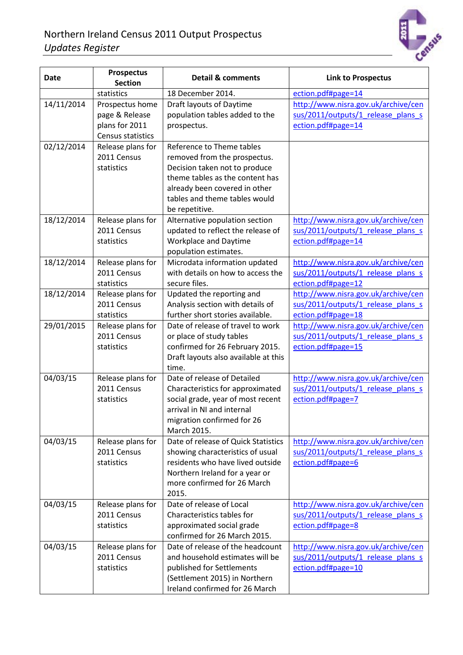

| <b>Date</b> | <b>Prospectus</b><br><b>Section</b>                                      | <b>Detail &amp; comments</b>                                                                                                                                                                                      | <b>Link to Prospectus</b>                                                                       |
|-------------|--------------------------------------------------------------------------|-------------------------------------------------------------------------------------------------------------------------------------------------------------------------------------------------------------------|-------------------------------------------------------------------------------------------------|
|             | statistics                                                               | 18 December 2014.                                                                                                                                                                                                 | ection.pdf#page=14                                                                              |
| 14/11/2014  | Prospectus home<br>page & Release<br>plans for 2011<br>Census statistics | Draft layouts of Daytime<br>population tables added to the<br>prospectus.                                                                                                                                         | http://www.nisra.gov.uk/archive/cen<br>sus/2011/outputs/1 release plans s<br>ection.pdf#page=14 |
| 02/12/2014  | Release plans for<br>2011 Census<br>statistics                           | Reference to Theme tables<br>removed from the prospectus.<br>Decision taken not to produce<br>theme tables as the content has<br>already been covered in other<br>tables and theme tables would<br>be repetitive. |                                                                                                 |
| 18/12/2014  | Release plans for<br>2011 Census<br>statistics                           | Alternative population section<br>updated to reflect the release of<br><b>Workplace and Daytime</b><br>population estimates.                                                                                      | http://www.nisra.gov.uk/archive/cen<br>sus/2011/outputs/1 release plans s<br>ection.pdf#page=14 |
| 18/12/2014  | Release plans for<br>2011 Census<br>statistics                           | Microdata information updated<br>with details on how to access the<br>secure files.                                                                                                                               | http://www.nisra.gov.uk/archive/cen<br>sus/2011/outputs/1 release plans s<br>ection.pdf#page=12 |
| 18/12/2014  | Release plans for<br>2011 Census<br>statistics                           | Updated the reporting and<br>Analysis section with details of<br>further short stories available.                                                                                                                 | http://www.nisra.gov.uk/archive/cen<br>sus/2011/outputs/1 release plans s<br>ection.pdf#page=18 |
| 29/01/2015  | Release plans for<br>2011 Census<br>statistics                           | Date of release of travel to work<br>or place of study tables<br>confirmed for 26 February 2015.<br>Draft layouts also available at this<br>time.                                                                 | http://www.nisra.gov.uk/archive/cen<br>sus/2011/outputs/1 release plans s<br>ection.pdf#page=15 |
| 04/03/15    | Release plans for<br>2011 Census<br>statistics                           | Date of release of Detailed<br>Characteristics for approximated<br>social grade, year of most recent<br>arrival in NI and internal<br>migration confirmed for 26<br>March 2015.                                   | http://www.nisra.gov.uk/archive/cen<br>sus/2011/outputs/1 release plans s<br>ection.pdf#page=7  |
| 04/03/15    | Release plans for<br>2011 Census<br>statistics                           | Date of release of Quick Statistics<br>showing characteristics of usual<br>residents who have lived outside<br>Northern Ireland for a year or<br>more confirmed for 26 March<br>2015.                             | http://www.nisra.gov.uk/archive/cen<br>sus/2011/outputs/1 release plans s<br>ection.pdf#page=6  |
| 04/03/15    | Release plans for<br>2011 Census<br>statistics                           | Date of release of Local<br>Characteristics tables for<br>approximated social grade<br>confirmed for 26 March 2015.                                                                                               | http://www.nisra.gov.uk/archive/cen<br>sus/2011/outputs/1_release_plans_s<br>ection.pdf#page=8  |
| 04/03/15    | Release plans for<br>2011 Census<br>statistics                           | Date of release of the headcount<br>and household estimates will be<br>published for Settlements<br>(Settlement 2015) in Northern<br>Ireland confirmed for 26 March                                               | http://www.nisra.gov.uk/archive/cen<br>sus/2011/outputs/1 release plans s<br>ection.pdf#page=10 |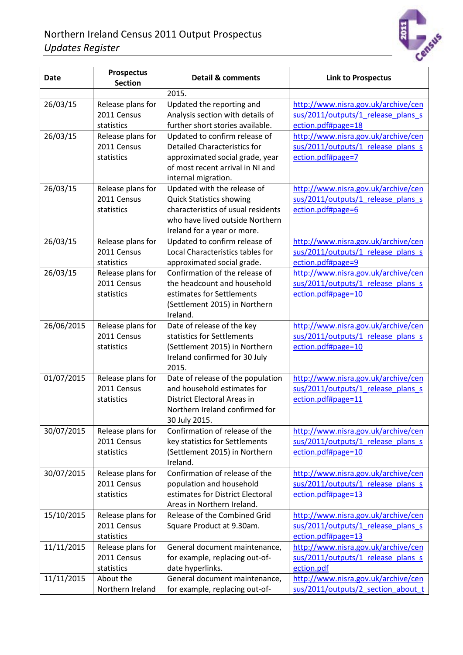

| <b>Date</b> | <b>Prospectus</b><br><b>Section</b>            | <b>Detail &amp; comments</b>                                                                                                                                           | <b>Link to Prospectus</b>                                                                       |
|-------------|------------------------------------------------|------------------------------------------------------------------------------------------------------------------------------------------------------------------------|-------------------------------------------------------------------------------------------------|
|             |                                                | 2015.                                                                                                                                                                  |                                                                                                 |
| 26/03/15    | Release plans for<br>2011 Census<br>statistics | Updated the reporting and<br>Analysis section with details of<br>further short stories available.                                                                      | http://www.nisra.gov.uk/archive/cen<br>sus/2011/outputs/1 release plans s<br>ection.pdf#page=18 |
| 26/03/15    | Release plans for<br>2011 Census<br>statistics | Updated to confirm release of<br><b>Detailed Characteristics for</b><br>approximated social grade, year<br>of most recent arrival in NI and<br>internal migration.     | http://www.nisra.gov.uk/archive/cen<br>sus/2011/outputs/1 release plans s<br>ection.pdf#page=7  |
| 26/03/15    | Release plans for<br>2011 Census<br>statistics | Updated with the release of<br><b>Quick Statistics showing</b><br>characteristics of usual residents<br>who have lived outside Northern<br>Ireland for a year or more. | http://www.nisra.gov.uk/archive/cen<br>sus/2011/outputs/1 release plans s<br>ection.pdf#page=6  |
| 26/03/15    | Release plans for<br>2011 Census<br>statistics | Updated to confirm release of<br>Local Characteristics tables for<br>approximated social grade.                                                                        | http://www.nisra.gov.uk/archive/cen<br>sus/2011/outputs/1 release plans s<br>ection.pdf#page=9  |
| 26/03/15    | Release plans for<br>2011 Census<br>statistics | Confirmation of the release of<br>the headcount and household<br>estimates for Settlements<br>(Settlement 2015) in Northern<br>Ireland.                                | http://www.nisra.gov.uk/archive/cen<br>sus/2011/outputs/1 release plans s<br>ection.pdf#page=10 |
| 26/06/2015  | Release plans for<br>2011 Census<br>statistics | Date of release of the key<br>statistics for Settlements<br>(Settlement 2015) in Northern<br>Ireland confirmed for 30 July<br>2015.                                    | http://www.nisra.gov.uk/archive/cen<br>sus/2011/outputs/1 release plans s<br>ection.pdf#page=10 |
| 01/07/2015  | Release plans for<br>2011 Census<br>statistics | Date of release of the population<br>and household estimates for<br>District Electoral Areas in<br>Northern Ireland confirmed for<br>30 July 2015.                     | http://www.nisra.gov.uk/archive/cen<br>sus/2011/outputs/1 release plans s<br>ection.pdf#page=11 |
| 30/07/2015  | Release plans for<br>2011 Census<br>statistics | Confirmation of release of the<br>key statistics for Settlements<br>(Settlement 2015) in Northern<br>Ireland.                                                          | http://www.nisra.gov.uk/archive/cen<br>sus/2011/outputs/1_release_plans_s<br>ection.pdf#page=10 |
| 30/07/2015  | Release plans for<br>2011 Census<br>statistics | Confirmation of release of the<br>population and household<br>estimates for District Electoral<br>Areas in Northern Ireland.                                           | http://www.nisra.gov.uk/archive/cen<br>sus/2011/outputs/1 release plans s<br>ection.pdf#page=13 |
| 15/10/2015  | Release plans for<br>2011 Census<br>statistics | Release of the Combined Grid<br>Square Product at 9.30am.                                                                                                              | http://www.nisra.gov.uk/archive/cen<br>sus/2011/outputs/1 release plans s<br>ection.pdf#page=13 |
| 11/11/2015  | Release plans for<br>2011 Census<br>statistics | General document maintenance,<br>for example, replacing out-of-<br>date hyperlinks.                                                                                    | http://www.nisra.gov.uk/archive/cen<br>sus/2011/outputs/1_release_plans_s<br>ection.pdf         |
| 11/11/2015  | About the<br>Northern Ireland                  | General document maintenance,<br>for example, replacing out-of-                                                                                                        | http://www.nisra.gov.uk/archive/cen<br>sus/2011/outputs/2 section about t                       |